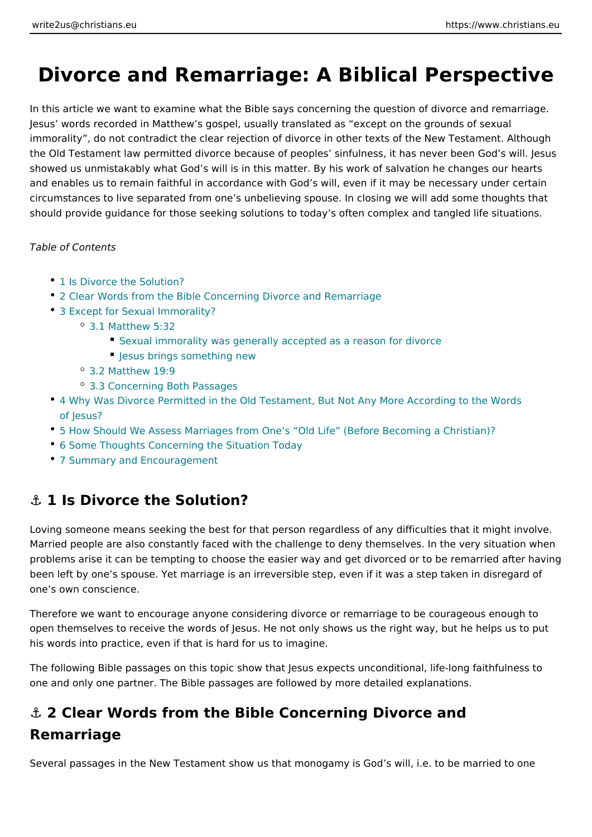# Divorce and Remarriage: A Biblical Pers

In this article we want to examine what the Bible says concerning the question o Jesus words recorded in Matthew s gospel, usually translated as except on the immorality, do not contradict the clear rejection of divorce in other texts of the the Old Testament law permitted divorce because of peoples sinfulness, it has never showed us unmistakably what God s will is in this matter. By his work of salvation and enables us to remain faithful in accordance with God s will, even if it may b circumstances to live separated from one s unbelieving spouse. In closing we wi should provide guidance for those seeking solutions to today s often complex an

Table of Contents

- 1 Is Divorce the Solution?
- 2 Clear Words from the Bible Concerning Divorce and Remarriage
- [3 Except for Sexual Im](#page-1-0)morality?
	- [3.1 Matthew](#page-2-0) 5:32
		- [Sexual immorality was generally accepted as a](#page-2-0) reason for divorce
		- [Jesus brings someth](#page-2-0)ing new
	- [3.2 Matthew](#page-3-0) 19:9
	- [3.3 Concerning Both](#page-4-0) Passages
- \* [4 Why Was Divorce Permitted in the Old Testament, But Not Any M](#page-4-0)ore Accord [of Jes](#page-4-0)us?
- 5 How Should We Assess Marriages from One s Old Life (Before Becoming
- [6 Some Thoughts Concerning the S](#page-5-0)ituation Today
- [7 Summary and Encour](#page-6-0)agement

### &" 1 Is Divorce the Solution?

Loving someone means seeking the best for that person regardless of any difficu Married people are also constantly faced with the challenge to deny themselves. problems arise it can be tempting to choose the easier way and get divorced or t been left by one s spouse. Yet marriage is an irreversible step, even if it was a one s own conscience.

Therefore we want to encourage anyone considering divorce or remarriage to be open themselves to receive the words of Jesus. He not only shows us the right w his words into practice, even if that is hard for us to imagine.

The following Bible passages on this topic show that Jesus expects unconditiona one and only one partner. The Bible passages are followed by more detailed exp

## &" 2 Clear Words from the Bible Concerning Divorce and Remarriage

Several passages in the New Testament show us that monogamy is God s will, i.e.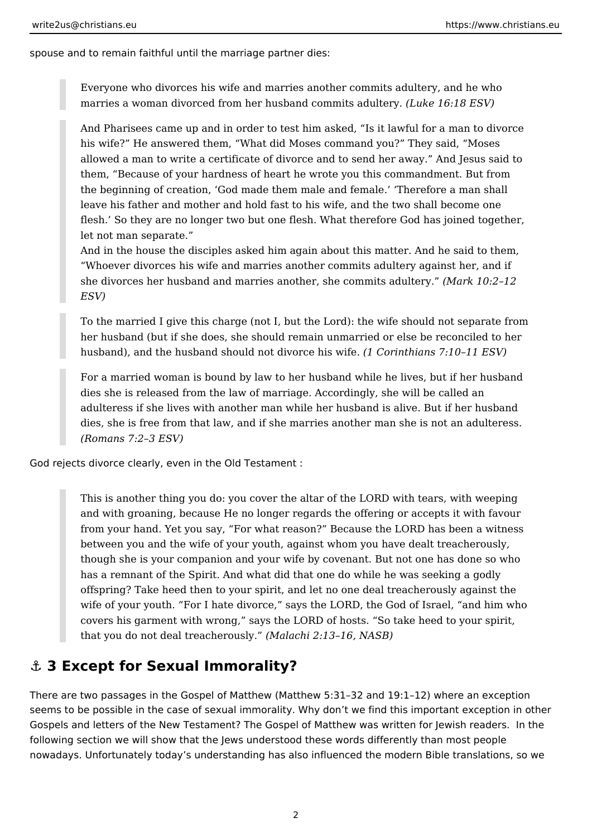<span id="page-1-0"></span>spouse and to remain faithful until the marriage partner dies:

Everyone who divorces his wife and marries another commits adultery, and he who marries a woman divorced from her husband commits adultery. *(Luke 16:18 ESV)*

And Pharisees came up and in order to test him asked, "Is it lawful for a man to divorce his wife?" He answered them, "What did Moses command you?" They said, "Moses allowed a man to write a certificate of divorce and to send her away." And Jesus said to them, "Because of your hardness of heart he wrote you this commandment. But from the beginning of creation, 'God made them male and female.' 'Therefore a man shall leave his father and mother and hold fast to his wife, and the two shall become one flesh.' So they are no longer two but one flesh. What therefore God has joined together, let not man separate."

And in the house the disciples asked him again about this matter. And he said to them, "Whoever divorces his wife and marries another commits adultery against her, and if she divorces her husband and marries another, she commits adultery." *(Mark 10:2–12 ESV)*

To the married I give this charge (not I, but the Lord): the wife should not separate from her husband (but if she does, she should remain unmarried or else be reconciled to her husband), and the husband should not divorce his wife. *(1 Corinthians 7:10–11 ESV)*

For a married woman is bound by law to her husband while he lives, but if her husband dies she is released from the law of marriage. Accordingly, she will be called an adulteress if she lives with another man while her husband is alive. But if her husband dies, she is free from that law, and if she marries another man she is not an adulteress. *(Romans 7:2–3 ESV)*

God rejects divorce clearly, even in the Old Testament :

This is another thing you do: you cover the altar of the LORD with tears, with weeping and with groaning, because He no longer regards the offering or accepts it with favour from your hand. Yet you say, "For what reason?" Because the LORD has been a witness between you and the wife of your youth, against whom you have dealt treacherously, though she is your companion and your wife by covenant. But not one has done so who has a remnant of the Spirit. And what did that one do while he was seeking a godly offspring? Take heed then to your spirit, and let no one deal treacherously against the wife of your youth. "For I hate divorce," says the LORD, the God of Israel, "and him who covers his garment with wrong," says the LORD of hosts. "So take heed to your spirit, that you do not deal treacherously." *(Malachi 2:13–16, NASB)*

### **⚓ 3 Except for Sexual Immorality?**

There are two passages in the Gospel of Matthew (Matthew 5:31–32 and 19:1–12) where an exception seems to be possible in the case of sexual immorality. Why don't we find this important exception in other Gospels and letters of the New Testament? The Gospel of Matthew was written for Jewish readers. In the following section we will show that the Jews understood these words differently than most people nowadays. Unfortunately today's understanding has also influenced the modern Bible translations, so we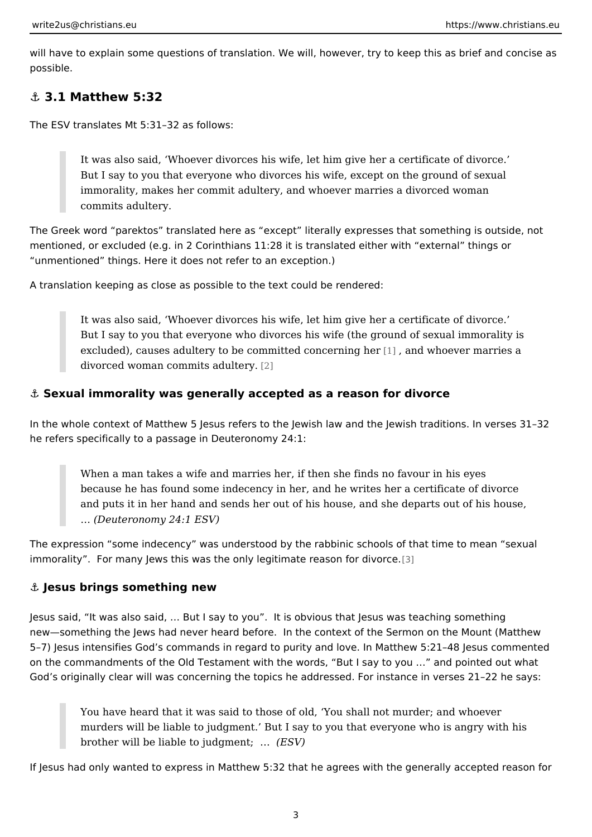<span id="page-2-0"></span>will have to explain some questions of translation. We will, however, try to keep possible.

&" 3.1 Matthew 5:32

The ESV translates Mt 5:31 32 as follows:

It was also said, Whoever divorces his wife, let him give her a certificate But I say to you that everyone who divorces his wife, except on the gro immorality, makes her commit adultery, and whoever marries a divorced commits adultery.

The Greek word parektos translated here as except literally expresses that something mentioned, or excluded (e.g. in 2 Corinthians 11:28 it is translated either with unmentioned things. Here it does not refer to an exception.)

A translation keeping as close as possible to the text could be rendered:

It was also said, Whoever divorces his wife, let him give her a certificate But I say to you that everyone who divorces his wife (the ground of sex excluded), causes adultery to be committed  $[1]$  concerning ther marries a divorced woman commits [ad](#page-7-0)ultery.

&" Sexual immorality was generally accepted as a reason for divorce

In the whole context of Matthew 5 Jesus refers to the Jewish law and the Jewish he refers specifically to a passage in Deuteronomy 24:1:

When a man takes a wife and marries her, if then she finds no favour in because he has found some indecency in her, and he writes her a certif and puts it in her hand and sends her out of his house, and she departs & (Deuteronomy 24:1 ESV)

The expression some indecency was understood by the rabbinic schools of that immorality . For many Jews this was the only legiti[mate](#page-7-0) reason for divorce.

&" Jesus brings something new

Jesus said, It was also said, & But I say to you . It is obvious that Jesus was t new something the Jews had never heard before. In the context of the Sermon o 5 7) Jesus intensifies God s commands in regard to purity and love. In Matthew on the commandments of the Old Testament with the words, But I say to you & God s originally clear will was concerning the topics he addressed. For instance

You have heard that it was said to those of old, You shall not murder; murders will be liable to judgment. But I say to you that everyone who brother will be liable to judgment; &

If Jesus had only wanted to express in Matthew 5:32 that he agrees with the gen

3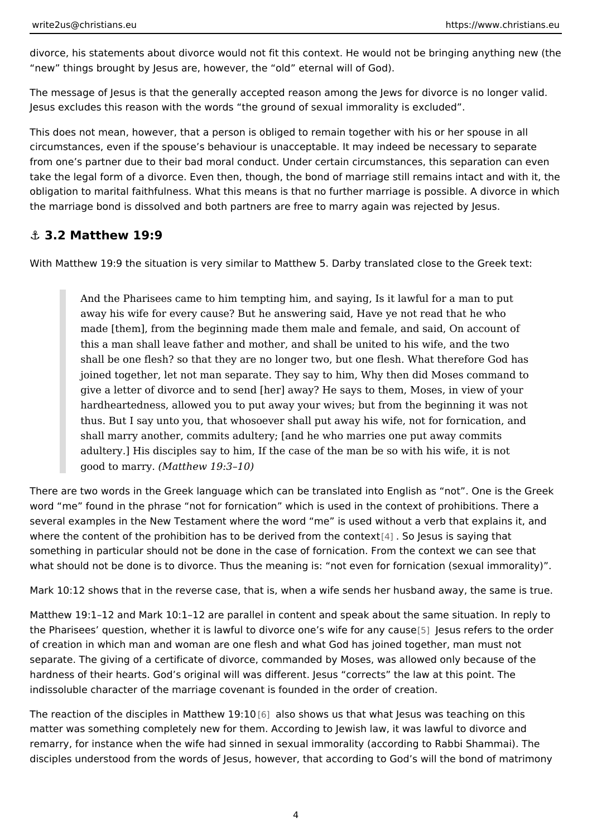<span id="page-3-0"></span>divorce, his statements about divorce would not fit this context. He would not be new things brought by Jesus are, however, the old eternal will of God).

The message of Jesus is that the generally accepted reason among the Jews for Jesus excludes this reason with the words the ground of sexual immorality is ex

This does not mean, however, that a person is obliged to remain together with h circumstances, even if the spouse s behaviour is unacceptable. It may indeed be from one s partner due to their bad moral conduct. Under certain circumstances, take the legal form of a divorce. Even then, though, the bond of marriage still re obligation to marital faithfulness. What this means is that no further marriage is the marriage bond is dissolved and both partners are free to marry again was rej

#### &" 3.2 Matthew 19:9

With Matthew 19:9 the situation is very similar to Matthew 5. Darby translated cl

And the Pharisees came to him tempting him, and saying, Is it lawful fo away his wife for every cause? But he answering said, Have ye not read made [them], from the beginning made them male and female, and said, this a man shall leave father and mother, and shall be united to his wife shall be one flesh? so that they are no longer two, but one flesh. What joined together, let not man separate. They say to him, Why then did Mo give a letter of divorce and to send [her] away? He says to them, Moses hardheartedness, allowed you to put away your wives; but from the begi thus. But I say unto you, that whosoever shall put away his wife, not fo shall marry another, commits adultery; [and he who marries one put away adultery.] His disciples say to him, If the case of the man be so with hi good to ma $(M\text{at}$ hew 19:3 10)

There are two words in the Greek language which can be translated into English word me found in the phrase not for fornication which is used in the context of several examples in the New Testament where the word me is used without a ve where the content of the prohibition has to be derivated  $\mathbf S$  boothes the csonstaey xing that something in particular should not be done in the case of fornication. From the c what should not be done is to divorce. Thus the meaning is: not even for fornication

Mark 10:12 shows that in the reverse case, that is, when a wife sends her husba

Matthew 19:1 12 and Mark 10:1 12 are parallel in content and speak about the same the Pharisees question, whether it is lawful to divorce pheless wesfeeffeersancy tcheeusour of creation in which man and woman are one flesh and what God has joined toge separate. The giving of a certificate of divorce, commanded by Moses, was allow hardness of their hearts. God s original will was different. Jesus corrects the I indissoluble character of the marriage covenant is founded in the order of creati

The reaction of the disciples in [Ma](#page-8-0)tthew shows us that what Jesus was teaching matter was something completely new for them. According to Jewish law, it was l remarry, for instance when the wife had sinned in sexual immorality (according t disciples understood from the words of Jesus, however, that according to God s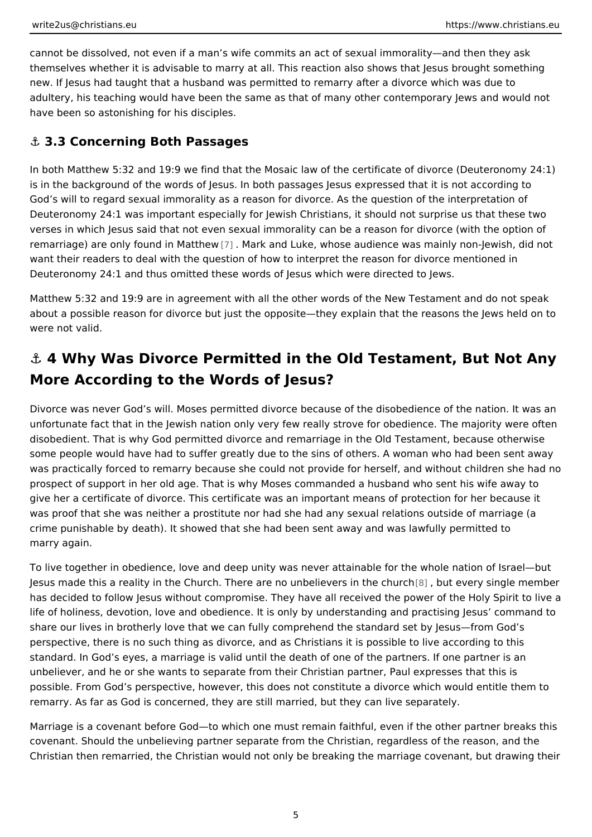<span id="page-4-0"></span>cannot be dissolved, not even if a man s wife commits an act of sexual immoralit themselves whether it is advisable to marry at all. This reaction also shows that new. If Jesus had taught that a husband was permitted to remarry after a divorce adultery, his teaching would have been the same as that of many other contemporal have been so astonishing for his disciples.

### &" 3.3 Concerning Both Passages

In both Matthew 5:32 and 19:9 we find that the Mosaic law of the certificate of d is in the background of the words of Jesus. In both passages Jesus expressed th God s will to regard sexual immorality as a reason for divorce. As the question of Deuteronomy 24:1 was important especially for Jewish Christians, it should not s verses in which Jesus said that not even sexual immorality can be a reason for d remarriage) are only found [in](#page-8-0) MMatthkeand Luke, whose audience was mainly non-J want their readers to deal with the question of how to interpret the reason for di Deuteronomy 24:1 and thus omitted these words of Jesus which were directed to

Matthew 5:32 and 19:9 are in agreement with all the other words of the New Test about a possible reason for divorce but just the opposite they explain that the re were not valid.

# &" 4 Why Was Divorce Permitted in the Old Testament, Bu More According to the Words of Jesus?

Divorce was never God s will. Moses permitted divorce because of the disobedie unfortunate fact that in the Jewish nation only very few really strove for obedier disobedient. That is why God permitted divorce and remarriage in the Old Testan some people would have had to suffer greatly due to the sins of others. A womar was practically forced to remarry because she could not provide for herself, and prospect of support in her old age. That is why Moses commanded a husband who give her a certificate of divorce. This certificate was an important means of prot was proof that she was neither a prostitute nor had she had any sexual relations crime punishable by death). It showed that she had been sent away and was lawf marry again.

To live together in obedience, love and deep unity was never attainable for the v Jesus made this a reality in the Church. There are no unapebioet ensein shine got a unnelim has decided to follow Jesus without compromise. They have all received the pow life of holiness, devotion, love and obedience. It is only by understanding and p share our lives in brotherly love that we can fully comprehend the standard set b perspective, there is no such thing as divorce, and as Christians it is possible t standard. In God s eyes, a marriage is valid until the death of one of the partne unbeliever, and he or she wants to separate from their Christian partner, Paul e possible. From God s perspective, however, this does not constitute a divorce w remarry. As far as God is concerned, they are still married, but they can live se

Marriage is a covenant before God to which one must remain faithful, even if the covenant. Should the unbelieving partner separate from the Christian, regardless Christian then remarried, the Christian would not only be breaking the marriage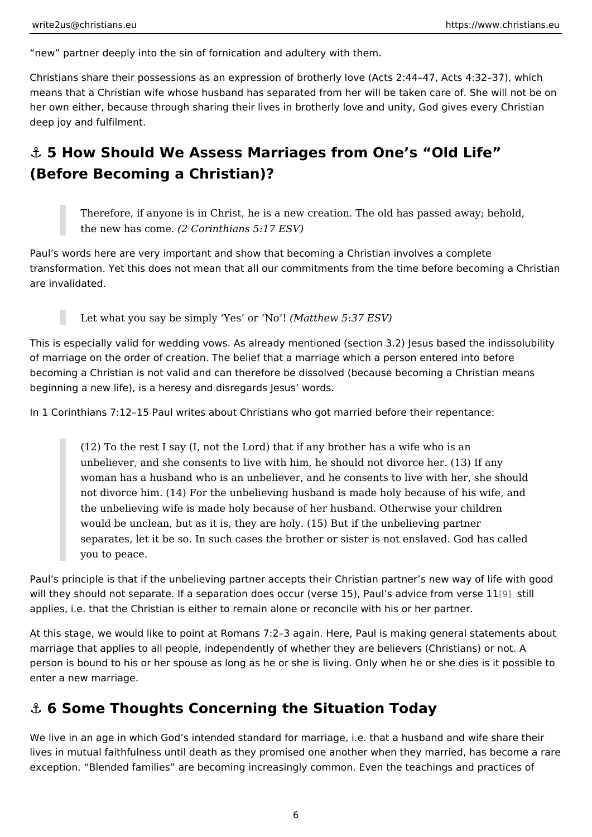<span id="page-5-0"></span>new partner deeply into the sin of fornication and adultery with them.

Christians share their possessions as an expression of brotherly love (Acts 2:44 means that a Christian wife whose husband has separated from her will be taken her own either, because through sharing their lives in brotherly love and unity, God and deep joy and fulfilment.

&" 5 How Should We Assess Marriages from One s Old Life (Before Becoming a Christian)?

Therefore, if anyone is in Christ, he is a new creation. The old has pas the new has  $c$   $\frac{62n}{c}$  corinthians  $5:17$   $ESV$ )

Paul s words here are very important and show that becoming a Christian involve transformation. Yet this does not mean that all our commitments from the time b are invalidated.

Let what you say be simply  $Y$ (eMsatohew 6:137 ESV)

This is especially valid for wedding vows. As already mentioned (section 3.2) Je of marriage on the order of creation. The belief that a marriage which a person  $\epsilon$ becoming a Christian is not valid and can therefore be dissolved (because becon beginning a new life), is a heresy and disregards Jesus words.

In 1 Corinthians 7:12 15 Paul writes about Christians who got married before the

 $(12)$  To the rest I say (I, not the Lord) that if any brother has a wife wh unbeliever, and she consents to live with him, he should not divorce he woman has a husband who is an unbeliever, and he consents to live with not divorce him. (14) For the unbelieving husband is made holy because the unbelieving wife is made holy because of her husband. Otherwise your would be unclean, but as it is, they are holy. (15) But if the unbelieving separates, let it be so. In such cases the brother or sister is not enslav you to peace.

Paul s principle is that if the unbelieving partner accepts their Christian partner will they should not separate. If a separation does occur (verse 15) $[9]$  Psatulls advi applies, i.e. that the Christian is either to remain alone or reconcile with his or

At this stage, we would like to point at Romans 7:2 3 again. Here, Paul is makin marriage that applies to all people, independently of whether they are believers person is bound to his or her spouse as long as he or she is living. Only when h enter a new marriage.

### &" 6 Some Thoughts Concerning the Situation Today

We live in an age in which God s intended standard for marriage, i.e. that a hus lives in mutual faithfulness until death as they promised one another when they exception. Blended families are becoming increasingly common. Even the teach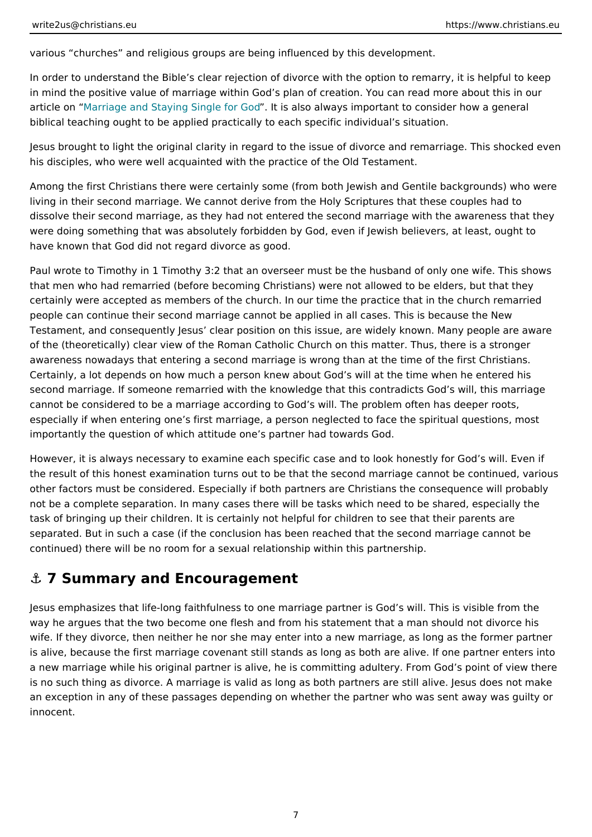<span id="page-6-0"></span>various churches and religious groups are being influenced by this developmen

In order to understand the Bible s clear rejection of divorce with the option to re in mind the positive value of marriage within God s plan of creation. You can rea article oMharriage and Staying Singleltfos alosob always important to consider how a biblical teaching ought to be applied practically to each specific individual s sit

Jesus brought to light the original clarity in regard to the issue of divorce and r his disciples, who were well acquainted with the practice of the Old Testament.

Among the first Christians there were certainly some (from both Jewish and Gent living in their second marriage. We cannot derive from the Holy Scriptures that t dissolve their second marriage, as they had not entered the second marriage wit were doing something that was absolutely forbidden by God, even if Jewish belie have known that God did not regard divorce as good.

Paul wrote to Timothy in 1 Timothy 3:2 that an overseer must be the husband of that men who had remarried (before becoming Christians) were not allowed to be certainly were accepted as members of the church. In our time the practice that people can continue their second marriage cannot be applied in all cases. This i Testament, and consequently Jesus clear position on this issue, are widely know of the (theoretically) clear view of the Roman Catholic Church on this matter. Th awareness nowadays that entering a second marriage is wrong than at the time o Certainly, a lot depends on how much a person knew about God s will at the time second marriage. If someone remarried with the knowledge that this contradicts cannot be considered to be a marriage according to God s will. The problem ofte especially if when entering one s first marriage, a person neglected to face the importantly the question of which attitude one s partner had towards God.

However, it is always necessary to examine each specific case and to look honestly the result of this honest examination turns out to be that the second marriage cannot be continued, various be continued, various  $\alpha$ other factors must be considered. Especially if both partners are Christians the not be a complete separation. In many cases there will be tasks which need to b task of bringing up their children. It is certainly not helpful for children to see t separated. But in such a case (if the conclusion has been reached that the second continued) there will be no room for a sexual relationship within this partnership.

### &" 7 Summary and Encouragement

Jesus emphasizes that life-long faithfulness to one marriage partner is God s wi way he argues that the two become one flesh and from his statement that a man wife. If they divorce, then neither he nor she may enter into a new marriage, as is alive, because the first marriage covenant still stands as long as both are ali a new marriage while his original partner is alive, he is committing adultery. Fro is no such thing as divorce. A marriage is valid as long as both partners are stil an exception in any of these passages depending on whether the partner who wa innocent.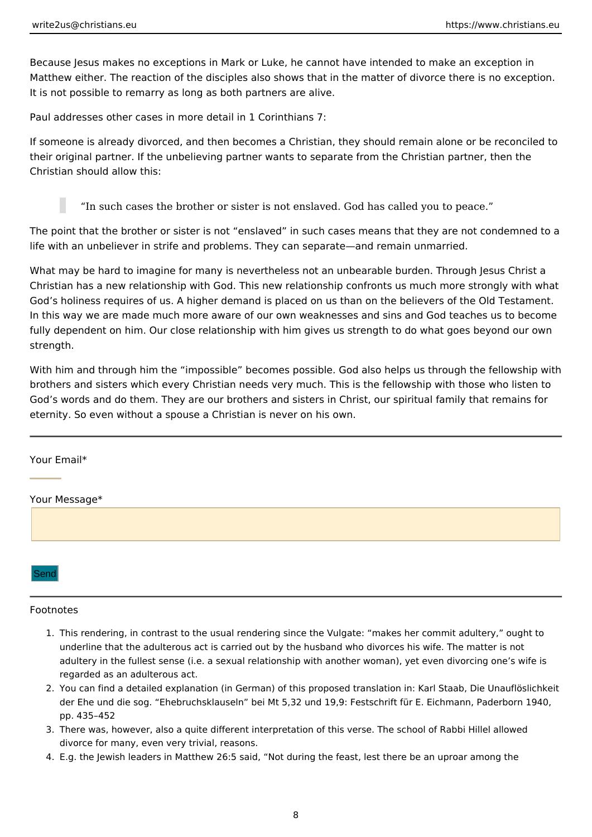<span id="page-7-0"></span>Because Jesus makes no exceptions in Mark or Luke, he cannot have intended to make an exception in Matthew either. The reaction of the disciples also shows that in the matter of divorce there is no exception. It is not possible to remarry as long as both partners are alive.

Paul addresses other cases in more detail in 1 Corinthians 7:

If someone is already divorced, and then becomes a Christian, they should remain alone or be reconciled to their original partner. If the unbelieving partner wants to separate from the Christian partner, then the Christian should allow this:

"In such cases the brother or sister is not enslaved. God has called you to peace."

The point that the brother or sister is not "enslaved" in such cases means that they are not condemned to a life with an unbeliever in strife and problems. They can separate—and remain unmarried.

What may be hard to imagine for many is nevertheless not an unbearable burden. Through Jesus Christ a Christian has a new relationship with God. This new relationship confronts us much more strongly with what God's holiness requires of us. A higher demand is placed on us than on the believers of the Old Testament. In this way we are made much more aware of our own weaknesses and sins and God teaches us to become fully dependent on him. Our close relationship with him gives us strength to do what goes beyond our own strength.

With him and through him the "impossible" becomes possible. God also helps us through the fellowship with brothers and sisters which every Christian needs very much. This is the fellowship with those who listen to God's words and do them. They are our brothers and sisters in Christ, our spiritual family that remains for eternity. So even without a spouse a Christian is never on his own.

#### Your Email\*

#### Your Message\*

Send

#### Footnotes

- 1. This rendering, in contrast to the usual rendering since the Vulgate: "makes her commit adultery," ought to underline that the adulterous act is carried out by the husband who divorces his wife. The matter is not adultery in the fullest sense (i.e. a sexual relationship with another woman), yet even divorcing one's wife is regarded as an adulterous act.
- 2. You can find a detailed explanation (in German) of this proposed translation in: Karl Staab, Die Unauflöslichkeit der Ehe und die sog. "Ehebruchsklauseln" bei Mt 5,32 und 19,9: Festschrift für E. Eichmann, Paderborn 1940, pp. 435–452
- 3. There was, however, also a quite different interpretation of this verse. The school of Rabbi Hillel allowed divorce for many, even very trivial, reasons.
- 4. E.g. the Jewish leaders in Matthew 26:5 said, "Not during the feast, lest there be an uproar among the